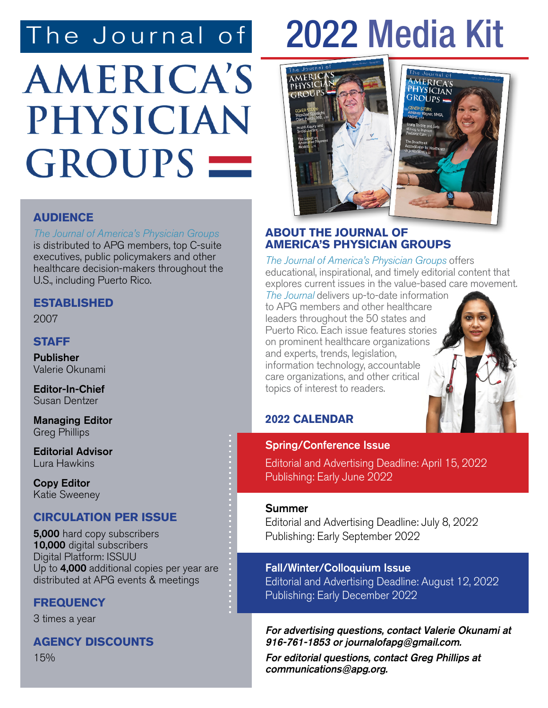# The Journal of 2022 Media Kit

## **AMERICA'S** PHYSICIAN GROUPS –

#### **AUDIENCE**

The Journal of America's Physician Groups is distributed to APG members, top C-suite executives, public policymakers and other healthcare decision-makers throughout the U.S., including Puerto Rico.

#### **ESTABLISHED**

2007

#### **STAFF**

Publisher Valerie Okunami

Editor-In-Chief Susan Dentzer

Managing Editor Greg Phillips

Editorial Advisor Lura Hawkins

Copy Editor Katie Sweeney

#### **CIRCULATION PER ISSUE**

5,000 hard copy subscribers 10,000 digital subscribers Digital Platform: ISSUU Up to 4,000 additional copies per year are distributed at APG events & meetings

#### **FREQUENCY**

3 times a year

**AGENCY DISCOUNTS**

15%



#### **ABOUT THE JOURNAL OF AMERICA'S PHYSICIAN GROUPS**

The Journal of America's Physician Groups offers educational, inspirational, and timely editorial content that explores current issues in the value-based care movement.

The Journal delivers up-to-date information to APG members and other healthcare leaders throughout the 50 states and Puerto Rico. Each issue features stories on prominent healthcare organizations and experts, trends, legislation, information technology, accountable care organizations, and other critical topics of interest to readers.

#### **2022 CALENDAR**

Spring/Conference Issue

Editorial and Advertising Deadline: April 15, 2022 Publishing: Early June 2022

#### Summer

Editorial and Advertising Deadline: July 8, 2022 Publishing: Early September 2022

Fall/Winter/Colloquium Issue Editorial and Advertising Deadline: August 12, 2022 Publishing: Early December 2022

For advertising questions, contact Valerie Okunami at 916-761-1853 or journalofapg@gmail.com.

For editorial questions, contact Greg Phillips at communications@apg.org.